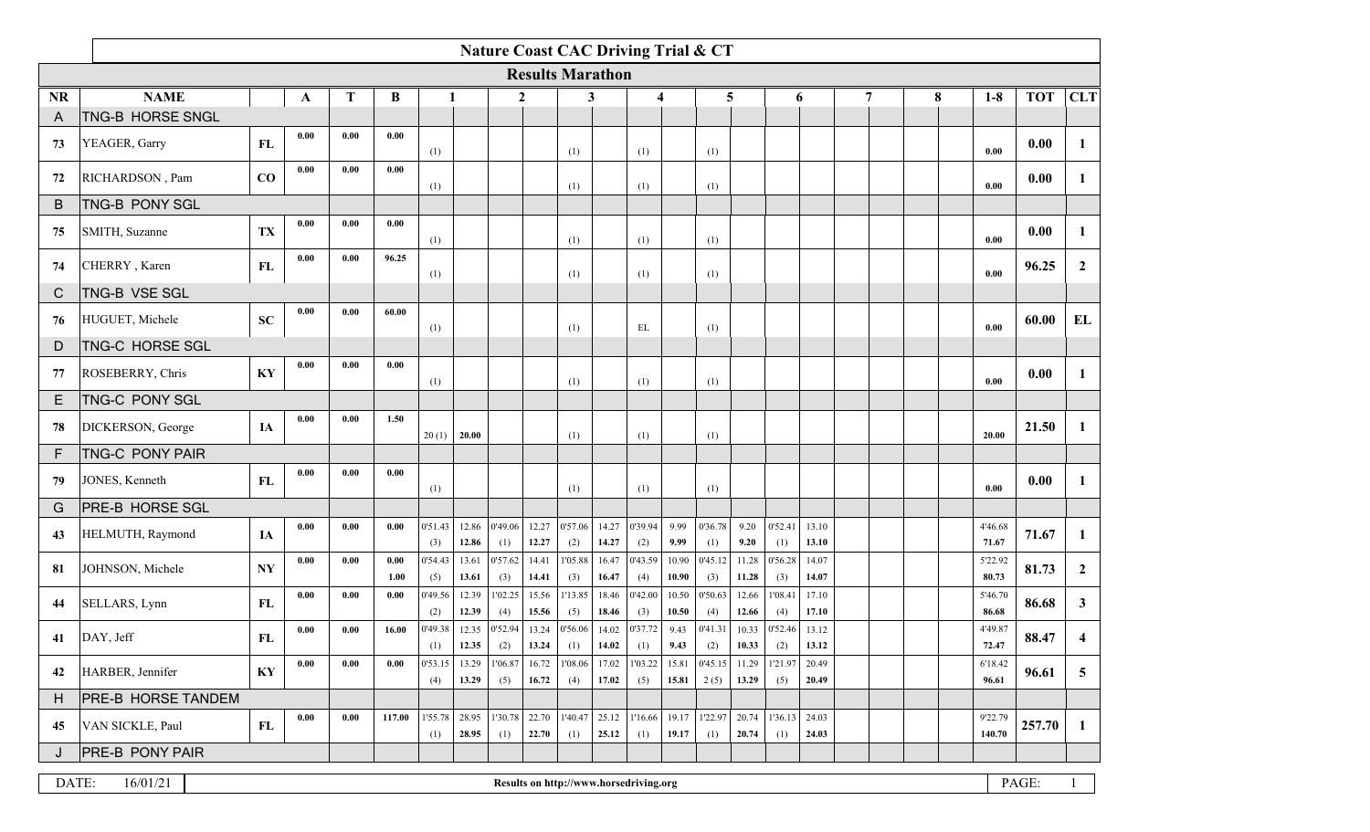|           | <b>Nature Coast CAC Driving Trial &amp; CT</b> |                |              |             |              |                |                |                |                |                                        |                |                |                |                 |                |                        |                |   |  |   |                   |            |                |
|-----------|------------------------------------------------|----------------|--------------|-------------|--------------|----------------|----------------|----------------|----------------|----------------------------------------|----------------|----------------|----------------|-----------------|----------------|------------------------|----------------|---|--|---|-------------------|------------|----------------|
|           |                                                |                |              |             |              |                |                |                |                | <b>Results Marathon</b>                |                |                |                |                 |                |                        |                |   |  |   |                   |            |                |
| <b>NR</b> | <b>NAME</b>                                    |                | $\mathbf{A}$ | $\mathbf T$ | B            |                |                | $\mathbf{2}$   |                | 3                                      |                | 4              |                | 5               |                |                        | 6              | 7 |  | 8 | $1-8$             | <b>TOT</b> | <b>CLT</b>     |
| A         | TNG-B HORSE SNGL                               |                |              |             |              |                |                |                |                |                                        |                |                |                |                 |                |                        |                |   |  |   |                   |            |                |
| 73        | YEAGER, Garry                                  | FL             | 0.00         | 0.00        | 0.00         | (1)            |                |                |                | (1)                                    |                | (1)            |                | (1)             |                |                        |                |   |  |   | 0.00              | 0.00       | 1              |
| 72        | RICHARDSON, Pam                                | CO             | 0.00         | 0.00        | 0.00         | (1)            |                |                |                | (1)                                    |                | (1)            |                | (1)             |                |                        |                |   |  |   | 0.00              | 0.00       | 1              |
| B         | <b>TNG-B PONY SGL</b>                          |                |              |             |              |                |                |                |                |                                        |                |                |                |                 |                |                        |                |   |  |   |                   |            |                |
| 75        | SMITH, Suzanne                                 | TX             | 0.00         | 0.00        | 0.00         | (1)            |                |                |                | (1)                                    |                | (1)            |                | (1)             |                |                        |                |   |  |   | 0.00              | 0.00       | $\mathbf{1}$   |
| 74        | CHERRY, Karen                                  | ${\bf FL}$     | 0.00         | 0.00        | 96.25        | (1)            |                |                |                | (1)                                    |                | (1)            |                | (1)             |                |                        |                |   |  |   | 0.00              | 96.25      | $\overline{2}$ |
| C         | TNG-B VSE SGL                                  |                |              |             |              |                |                |                |                |                                        |                |                |                |                 |                |                        |                |   |  |   |                   |            |                |
| 76        | HUGUET, Michele                                | SC             | 0.00         | 0.00        | 60.00        | (1)            |                |                |                | (1)                                    |                | EL             |                | (1)             |                |                        |                |   |  |   | 0.00              | 60.00      | EL             |
| D         | <b>TNG-C HORSE SGL</b>                         |                |              |             |              |                |                |                |                |                                        |                |                |                |                 |                |                        |                |   |  |   |                   |            |                |
| 77        | ROSEBERRY, Chris                               | KY             | 0.00         | 0.00        | 0.00         | (1)            |                |                |                | (1)                                    |                | (1)            |                | (1)             |                |                        |                |   |  |   | 0.00              | 0.00       | 1              |
| E.        | <b>TNG-C PONY SGL</b>                          |                |              |             |              |                |                |                |                |                                        |                |                |                |                 |                |                        |                |   |  |   |                   |            |                |
| 78        | DICKERSON, George                              | IA             | 0.00         | 0.00        | 1.50         | 20(1)          | 20.00          |                |                | (1)                                    |                | (1)            |                | (1)             |                |                        |                |   |  |   | 20.00             | 21.50      | 1              |
| F         | <b>TNG-C PONY PAIR</b>                         |                |              |             |              |                |                |                |                |                                        |                |                |                |                 |                |                        |                |   |  |   |                   |            |                |
| 79        | JONES, Kenneth                                 | FL             | 0.00         | 0.00        | 0.00         | (1)            |                |                |                | (1)                                    |                | (1)            |                | (1)             |                |                        |                |   |  |   | 0.00              | 0.00       | 1              |
| G         | <b>PRE-B HORSE SGL</b>                         |                |              |             |              |                |                |                |                |                                        |                |                |                |                 |                |                        |                |   |  |   |                   |            |                |
| 43        | HELMUTH, Raymond                               | IA             | 0.00         | 0.00        | 0.00         | 0'51.43<br>(3) | 12.86<br>12.86 | 0'49.06<br>(1) | 12.27<br>12.27 | 0'57.06<br>(2)                         | 14.27<br>14.27 | 0'39.94<br>(2) | 9.99<br>9.99   | 0'36.78<br>(1)  | 9.20<br>9.20   | 0'52.41<br>(1)         | 13.10<br>13.10 |   |  |   | 4'46.68<br>71.67  | 71.67      | 1              |
| 81        | JOHNSON, Michele                               | N <sub>Y</sub> | 0.00         | 0.00        | 0.00<br>1.00 | 0'54.43<br>(5) | 13.61<br>13.61 | 0'57.62<br>(3) | 14.41<br>14.41 | 1'05.88<br>(3)                         | 16.47<br>16.47 | 0'43.59<br>(4) | 10.90<br>10.90 | 0'45.12<br>(3)  | 11.28<br>11.28 | 0'56.28<br>(3)         | 14.07<br>14.07 |   |  |   | 5'22.92<br>80.73  | 81.73      | $\overline{2}$ |
| 44        | SELLARS, Lynn                                  | FL             | 0.00         | 0.00        | 0.00         | 0'49.56<br>(2) | 12.39<br>12.39 | 1'02.25<br>(4) | 15.56<br>15.56 | 1'13.85<br>(5)                         | 18.46<br>18.46 | 0'42.00<br>(3) | 10.50<br>10.50 | 0'50.63<br>(4)  | 12.66<br>12.66 | 1'08.41<br>(4)         | 17.10<br>17.10 |   |  |   | 5'46.70<br>86.68  | 86.68      | $\mathbf{3}$   |
| 41        | DAY, Jeff                                      | FL             | 0.00         | 0.00        | 16.00        | 0'49.38<br>(1) | 12.35<br>12.35 | 0'52.94<br>(2) | 13.24<br>13.24 | 0'56.06<br>(1)                         | 14.02<br>14.02 | 0'37.72<br>(1) | 9.43<br>9.43   | 0'41.31<br>(2)  | 10.33<br>10.33 | 0'52.46<br>(2)         | 13.12<br>13.12 |   |  |   | 4'49.87<br>72.47  | 88.47      | 4              |
| 42        | HARBER, Jennifer                               | KY             | 0.00         | 0.00        | 0.00         | 0'53.15<br>(4) | 13.29<br>13.29 | 1'06.87<br>(5) | 16.72<br>16.72 | 1'08.06<br>(4)                         | 17.02<br>17.02 | 1'03.22<br>(5) | 15.81<br>15.81 | 0'45.15<br>2(5) | 11.29<br>13.29 | 1'21.97<br>(5)         | 20.49<br>20.49 |   |  |   | 6'18.42<br>96.61  | 96.61      | $\overline{5}$ |
| H         | <b>PRE-B HORSE TANDEM</b>                      |                |              |             |              |                |                |                |                |                                        |                |                |                |                 |                |                        |                |   |  |   |                   |            |                |
| 45        | VAN SICKLE, Paul                               | FL             | 0.00         | 0.00        | 117.00       | 1'55.78<br>(1) | 28.95<br>28.95 | 1'30.78<br>(1) | 22.70<br>22.70 | 1'40.47<br>(1)                         | 25.12<br>25.12 | 1'16.66<br>(1) | 19.17<br>19.17 | 1'22.97<br>(1)  | 20.74<br>20.74 | $1'36.13$ 24.03<br>(1) | 24.03          |   |  |   | 9'22.79<br>140.70 | 257.70     | 1              |
| J         | <b>PRE-B PONY PAIR</b>                         |                |              |             |              |                |                |                |                |                                        |                |                |                |                 |                |                        |                |   |  |   |                   |            |                |
| DATE:     | 16/01/21                                       |                |              |             |              |                |                |                |                | Results on http://www.horsedriving.org |                |                |                |                 |                |                        |                |   |  |   |                   | PAGE:      |                |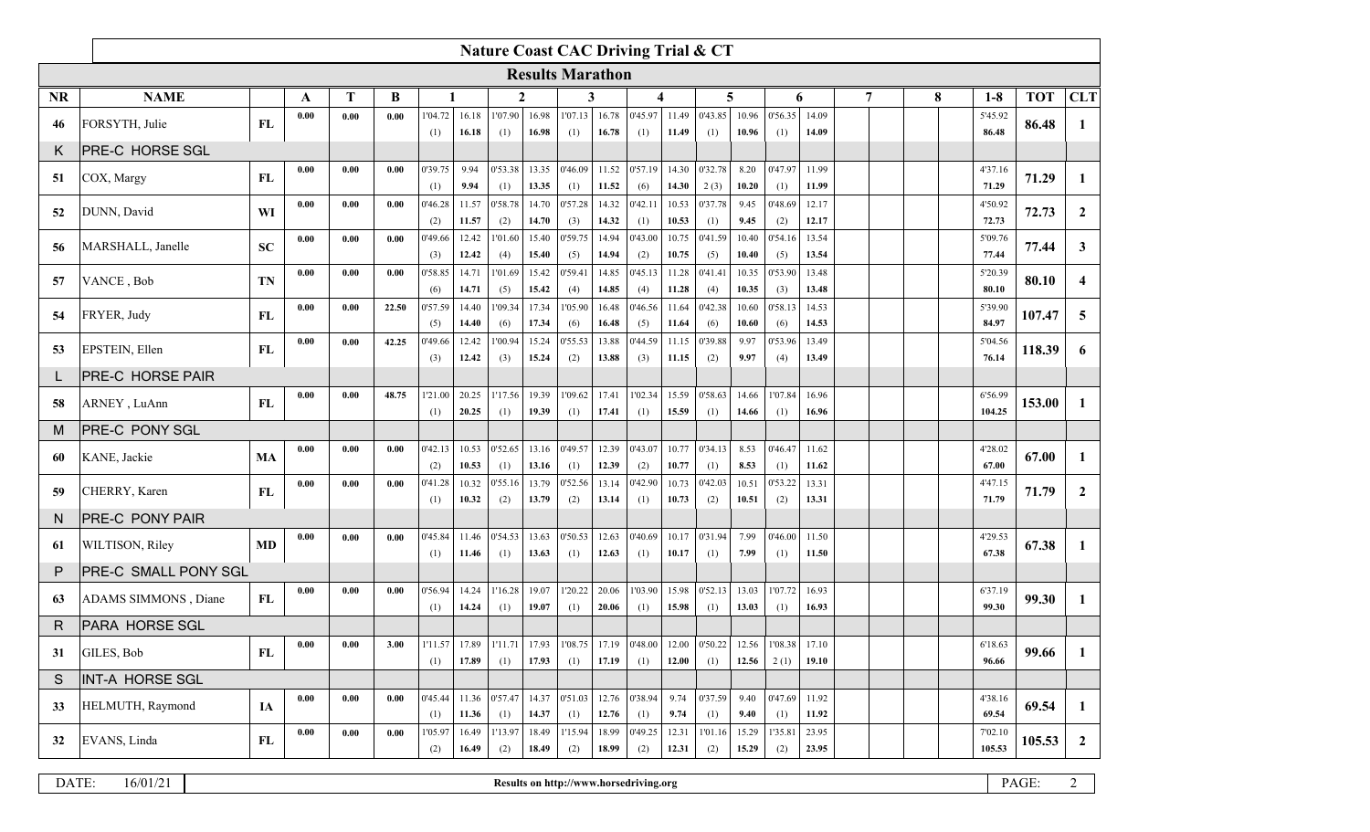|                  | <b>Nature Coast CAC Driving Trial &amp; CT</b> |           |      |      |       |                |                |                            |                |                         |                |                 |                |                 |                |                 |                |   |   |                   |            |                |
|------------------|------------------------------------------------|-----------|------|------|-------|----------------|----------------|----------------------------|----------------|-------------------------|----------------|-----------------|----------------|-----------------|----------------|-----------------|----------------|---|---|-------------------|------------|----------------|
|                  |                                                |           |      |      |       |                |                |                            |                | <b>Results Marathon</b> |                |                 |                |                 |                |                 |                |   |   |                   |            |                |
| <b>NR</b>        | <b>NAME</b>                                    |           | A    | T    | B     |                |                | 2                          |                | 3                       |                | 4               |                | 5               |                |                 | 6              | 7 | 8 | $1-8$             | <b>TOT</b> | <b>CLT</b>     |
| 46               | FORSYTH, Julie                                 | FL        | 0.00 | 0.00 | 0.00  | 1'04.72<br>(1) | 16.18<br>16.18 | 1'07.90<br>(1)             | 16.98<br>16.98 | 1'07.13<br>(1)          | 16.78<br>16.78 | 0'45.97<br>(1)  | 11.49<br>11.49 | 0'43.85<br>(1)  | 10.96<br>10.96 | 0'56.35<br>(1)  | 14.09<br>14.09 |   |   | 5'45.92<br>86.48  | 86.48      | 1              |
| Κ                | PRE-C HORSE SGL                                |           |      |      |       |                |                |                            |                |                         |                |                 |                |                 |                |                 |                |   |   |                   |            |                |
| 51               | COX, Margy                                     | FL        | 0.00 | 0.00 | 0.00  | 0'39.75<br>(1) | 9.94<br>9.94   | 0'53.38<br>(1)             | 13.35<br>13.35 | 0'46.09<br>(1)          | 11.52<br>11.52 | 0'57.19<br>(6)  | 14.30<br>14.30 | 0'32.78<br>2(3) | 8.20<br>10.20  | 0'47.97<br>(1)  | 11.99<br>11.99 |   |   | 4'37.16<br>71.29  | 71.29      | 1              |
| 52               | DUNN, David                                    | WI        | 0.00 | 0.00 | 0.00  | 0'46.28<br>(2) | 11.57<br>11.57 | 0'58.78<br>(2)             | 14.70<br>14.70 | 0'57.28<br>(3)          | 14.32<br>14.32 | 0'42.11<br>(1)  | 10.53<br>10.53 | 0'37.78<br>(1)  | 9.45<br>9.45   | 0'48.69<br>(2)  | 12.17<br>12.17 |   |   | 4'50.92<br>72.73  | 72.73      | $\mathbf{2}$   |
| 56               | MARSHALL, Janelle                              | <b>SC</b> | 0.00 | 0.00 | 0.00  | 0'49.66<br>(3) | 12.42<br>12.42 | 1'01.60<br>(4)             | 15.40<br>15.40 | 0'59.75<br>(5)          | 14.94<br>14.94 | 0'43.00<br>(2)  | 10.75<br>10.75 | 0'41.59<br>(5)  | 10.40<br>10.40 | 0'54.16<br>(5)  | 13.54<br>13.54 |   |   | 5'09.76<br>77.44  | 77.44      | 3 <sup>1</sup> |
| 57               | VANCE, Bob                                     | <b>TN</b> | 0.00 | 0.00 | 0.00  | 0'58.85<br>(6) | 14.71<br>14.71 | 1'01.69<br>(5)             | 15.42<br>15.42 | 0'59.41<br>(4)          | 14.85<br>14.85 | 0'45.13<br>(4)  | 11.28<br>11.28 | 0'41.41<br>(4)  | 10.35<br>10.35 | 0'53.90<br>(3)  | 13.48<br>13.48 |   |   | 5'20.39<br>80.10  | 80.10      | $\overline{4}$ |
| 54               | FRYER, Judy                                    | FL        | 0.00 | 0.00 | 22.50 | 0'57.59<br>(5) | 14.40<br>14.40 | 1'09.34<br>(6)             | 17.34<br>17.34 | 1'05.90<br>(6)          | 16.48<br>16.48 | 0'46.56<br>(5)  | 11.64<br>11.64 | 0'42.38<br>(6)  | 10.60<br>10.60 | 0'58.13<br>(6)  | 14.53<br>14.53 |   |   | 5'39.90<br>84.97  | 107.47     | $\overline{5}$ |
| 53               | EPSTEIN, Ellen                                 | FL        | 0.00 | 0.00 | 42.25 | 0'49.66<br>(3) | 12.42<br>12.42 | 1'00.94<br>(3)             | 15.24<br>15.24 | 0'55.53<br>(2)          | 13.88<br>13.88 | 0'44.59<br>(3)  | 11.15<br>11.15 | 0'39.88<br>(2)  | 9.97<br>9.97   | 0'53.96<br>(4)  | 13.49<br>13.49 |   |   | 5'04.56<br>76.14  | 118.39     | 6              |
| PRE-C HORSE PAIR |                                                |           |      |      |       |                |                |                            |                |                         |                |                 |                |                 |                |                 |                |   |   |                   |            |                |
| 58               | ARNEY, LuAnn                                   | FL        | 0.00 | 0.00 | 48.75 | 1'21.00<br>(1) | 20.25<br>20.25 | 1'17.56<br>(1)             | 19.39<br>19.39 | 1'09.62<br>(1)          | 17.41<br>17.41 | 1'02.34<br>(1)  | 15.59<br>15.59 | 0'58.63<br>(1)  | 14.66<br>14.66 | 1'07.84<br>(1)  | 16.96<br>16.96 |   |   | 6'56.99<br>104.25 | 153.00     | 1              |
| м                | <b>PRE-C PONY SGL</b>                          |           |      |      |       |                |                |                            |                |                         |                |                 |                |                 |                |                 |                |   |   |                   |            |                |
| 60               | KANE, Jackie                                   | MA        | 0.00 | 0.00 | 0.00  | 0'42.13<br>(2) | 10.53<br>10.53 | 0'52.65<br>(1)             | 13.16<br>13.16 | 0'49.57<br>(1)          | 12.39<br>12.39 | 0'43.07<br>(2)  | 10.77<br>10.77 | 0'34.13<br>(1)  | 8.53<br>8.53   | 0'46.47<br>(1)  | 11.62<br>11.62 |   |   | 4'28.02<br>67.00  | 67.00      | 1              |
| 59               | CHERRY, Karen                                  | FL        | 0.00 | 0.00 | 0.00  | 0'41.28<br>(1) | 10.32<br>10.32 | 0'55.16<br>(2)             | 13.79<br>13.79 | 0'52.56<br>(2)          | 13.14<br>13.14 | 0'42.90<br>(1)  | 10.73<br>10.73 | 0'42.03<br>(2)  | 10.51<br>10.51 | 0'53.22<br>(2)  | 13.31<br>13.31 |   |   | 4'47.15<br>71.79  | 71.79      | $\mathbf{2}$   |
| N                | PRE-C PONY PAIR                                |           |      |      |       |                |                |                            |                |                         |                |                 |                |                 |                |                 |                |   |   |                   |            |                |
| 61               | WILTISON, Riley                                | MD        | 0.00 | 0.00 | 0.00  | 0'45.84<br>(1) | 11.46<br>11.46 | 0'54.53<br>(1)             | 13.63<br>13.63 | 0'50.53<br>(1)          | 12.63<br>12.63 | 0'40.69<br>(1)  | 10.17<br>10.17 | 0'31.94<br>(1)  | 7.99<br>7.99   | 0'46.00<br>(1)  | 11.50<br>11.50 |   |   | 4'29.53<br>67.38  | 67.38      | 1              |
| P                | PRE-C SMALL PONY SGL                           |           |      |      |       |                |                |                            |                |                         |                |                 |                |                 |                |                 |                |   |   |                   |            |                |
| 63               | ADAMS SIMMONS, Diane                           | FL        | 0.00 | 0.00 | 0.00  | 0'56.94<br>(1) | 14.24<br>14.24 | 1'16.28<br>(1)             | 19.07<br>19.07 | 1'20.22<br>(1)          | 20.06<br>20.06 | 1'03.90<br>(1)  | 15.98<br>15.98 | 0'52.13<br>(1)  | 13.03<br>13.03 | 1'07.72<br>(1)  | 16.93<br>16.93 |   |   | 6'37.19<br>99.30  | 99.30      | $\bf{1}$       |
| R                | PARA HORSE SGL                                 |           |      |      |       |                |                |                            |                |                         |                |                 |                |                 |                |                 |                |   |   |                   |            |                |
| 31               | GILES, Bob                                     | FL        | 0.00 | 0.00 | 3.00  | 1'11.57<br>(1) | 17.89<br>17.89 | 1'11.71<br>(1)             | 17.93<br>17.93 | 1'08.75<br>(1)          | 17.19<br>17.19 | 0'48.00 <br>(1) | 12.00<br>12.00 | 0'50.22<br>(1)  | 12.56<br>12.56 | 1'08.38<br>2(1) | 17.10<br>19.10 |   |   | 6'18.63<br>96.66  | 99.66      |                |
| S                | <b>INT-A HORSE SGL</b>                         |           |      |      |       |                |                |                            |                |                         |                |                 |                |                 |                |                 |                |   |   |                   |            |                |
| 33               | HELMUTH, Raymond                               | IA        | 0.00 | 0.00 | 0.00  | 0'45.44<br>(1) | 11.36          | $11.36$   0'57.47  <br>(1) | 14.37<br>14.37 | 0.51.03 <br>(1)         | 12.76<br>12.76 | 0'38.94 <br>(1) | 9.74<br>9.74   | 0'37.59<br>(1)  | 9.40<br>9.40   | 0'47.69<br>(1)  | 11.92<br>11.92 |   |   | 4'38.16<br>69.54  | 69.54      | 1              |
| 32               | EVANS, Linda                                   | FL        | 0.00 | 0.00 | 0.00  | 1'05.97<br>(2) | 16.49<br>16.49 | 1'13.97<br>(2)             | 18.49<br>18.49 | 1'15.94 <br>(2)         | 18.99<br>18.99 | 0'49.25 <br>(2) | 12.31<br>12.31 | 1'01.16<br>(2)  | 15.29<br>15.29 | 1'35.81<br>(2)  | 23.95<br>23.95 |   |   | 7'02.10<br>105.53 | 105.53     | $\overline{2}$ |

| $-$<br>DATE | 16/0 | http://<br>horsedriving.org/<br>//ww<br><b>Kesu</b><br>. | $-$<br>D A<br>AUE. |  |
|-------------|------|----------------------------------------------------------|--------------------|--|
|-------------|------|----------------------------------------------------------|--------------------|--|